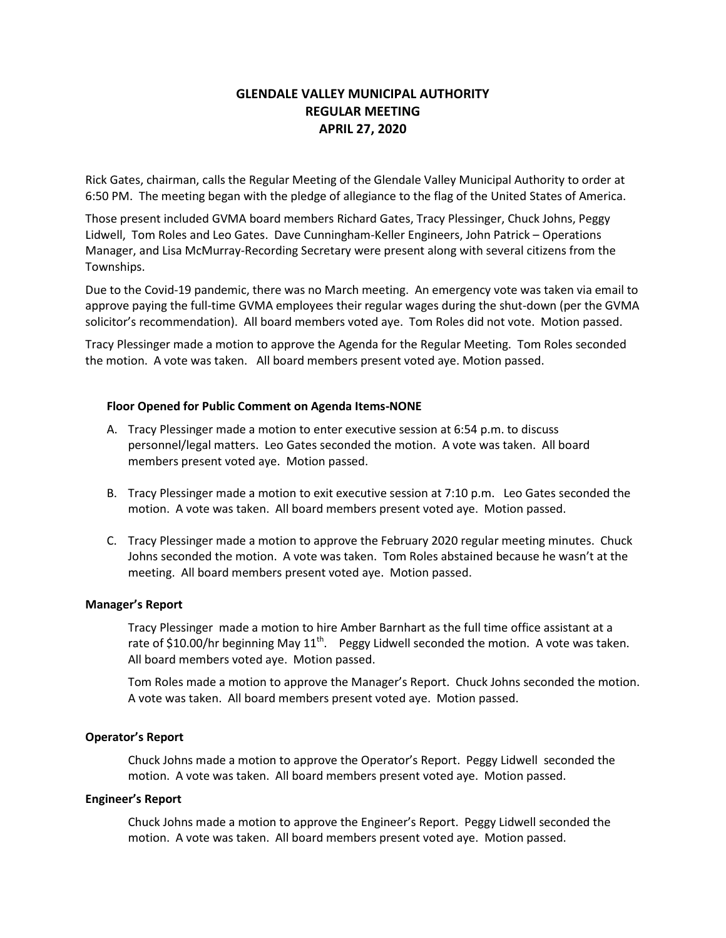# **GLENDALE VALLEY MUNICIPAL AUTHORITY REGULAR MEETING APRIL 27, 2020**

Rick Gates, chairman, calls the Regular Meeting of the Glendale Valley Municipal Authority to order at 6:50 PM. The meeting began with the pledge of allegiance to the flag of the United States of America.

Those present included GVMA board members Richard Gates, Tracy Plessinger, Chuck Johns, Peggy Lidwell, Tom Roles and Leo Gates. Dave Cunningham-Keller Engineers, John Patrick – Operations Manager, and Lisa McMurray-Recording Secretary were present along with several citizens from the Townships.

Due to the Covid-19 pandemic, there was no March meeting. An emergency vote was taken via email to approve paying the full-time GVMA employees their regular wages during the shut-down (per the GVMA solicitor's recommendation). All board members voted aye. Tom Roles did not vote. Motion passed.

Tracy Plessinger made a motion to approve the Agenda for the Regular Meeting. Tom Roles seconded the motion. A vote was taken. All board members present voted aye. Motion passed.

## **Floor Opened for Public Comment on Agenda Items-NONE**

- A. Tracy Plessinger made a motion to enter executive session at 6:54 p.m. to discuss personnel/legal matters. Leo Gates seconded the motion. A vote was taken. All board members present voted aye. Motion passed.
- B. Tracy Plessinger made a motion to exit executive session at 7:10 p.m. Leo Gates seconded the motion. A vote was taken. All board members present voted aye. Motion passed.
- C. Tracy Plessinger made a motion to approve the February 2020 regular meeting minutes. Chuck Johns seconded the motion. A vote was taken. Tom Roles abstained because he wasn't at the meeting. All board members present voted aye. Motion passed.

### **Manager's Report**

Tracy Plessinger made a motion to hire Amber Barnhart as the full time office assistant at a rate of \$10.00/hr beginning May 11<sup>th</sup>. Peggy Lidwell seconded the motion. A vote was taken. All board members voted aye. Motion passed.

Tom Roles made a motion to approve the Manager's Report. Chuck Johns seconded the motion. A vote was taken. All board members present voted aye. Motion passed.

### **Operator's Report**

Chuck Johns made a motion to approve the Operator's Report. Peggy Lidwell seconded the motion. A vote was taken. All board members present voted aye. Motion passed.

### **Engineer's Report**

Chuck Johns made a motion to approve the Engineer's Report. Peggy Lidwell seconded the motion. A vote was taken. All board members present voted aye. Motion passed.